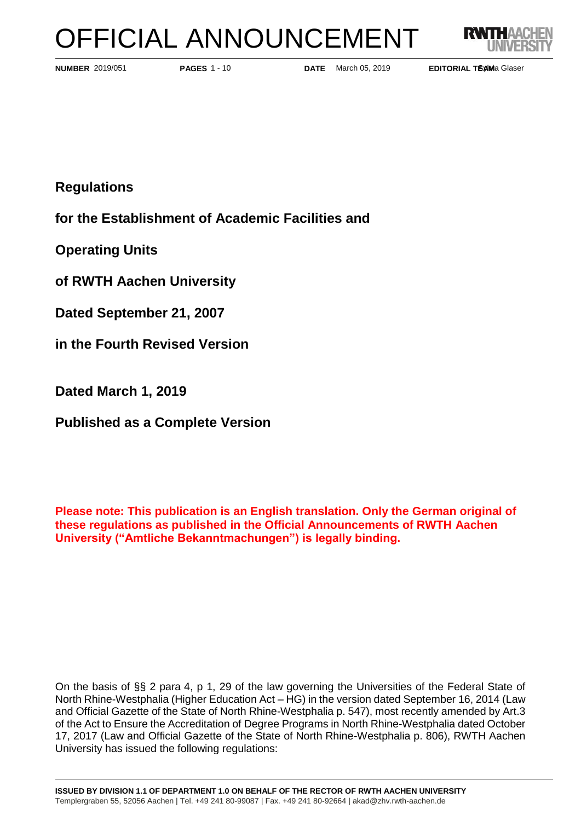# OFFICIAL ANNOUNCEMENT



**PAGES** 1 - 10

**NUMBER** 2019/051 **PAGES** 1 - 10 **DATE** March 05, 2019

**EDITORIAL TEAMa Glaser** 

**Regulations**

**for the Establishment of Academic Facilities and** 

**Operating Units** 

**of RWTH Aachen University**

**Dated September 21, 2007**

**in the Fourth Revised Version** 

**Dated March 1, 2019**

**Published as a Complete Version**

**Please note: This publication is an English translation. Only the German original of these regulations as published in the Official Announcements of RWTH Aachen University ("Amtliche Bekanntmachungen") is legally binding.**

On the basis of §§ 2 para 4, p 1, 29 of the law governing the Universities of the Federal State of North Rhine-Westphalia (Higher Education Act – HG) in the version dated September 16, 2014 (Law and Official Gazette of the State of North Rhine-Westphalia p. 547), most recently amended by Art.3 of the Act to Ensure the Accreditation of Degree Programs in North Rhine-Westphalia dated October 17, 2017 (Law and Official Gazette of the State of North Rhine-Westphalia p. 806), RWTH Aachen University has issued the following regulations: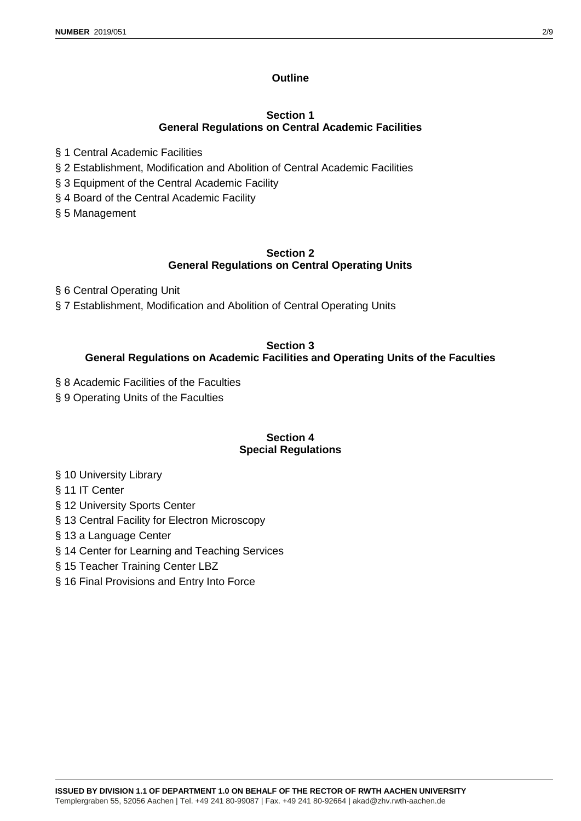# **Outline**

## **Section 1 General Regulations on Central Academic Facilities**

- § 1 Central Academic Facilities
- § 2 Establishment, Modification and Abolition of Central Academic Facilities
- § 3 Equipment of the Central Academic Facility
- § 4 Board of the Central Academic Facility
- § 5 Management

## **Section 2 General Regulations on Central Operating Units**

- § 6 Central Operating Unit
- § 7 Establishment, Modification and Abolition of Central Operating Units

## **Section 3 General Regulations on Academic Facilities and Operating Units of the Faculties**

- § 8 Academic Facilities of the Faculties
- § 9 Operating Units of the Faculties

# **Section 4 Special Regulations**

- § 10 University Library
- § 11 IT Center
- § 12 University Sports Center
- § 13 Central Facility for Electron Microscopy
- § 13 a Language Center
- § 14 Center for Learning and Teaching Services
- § 15 Teacher Training Center LBZ
- § 16 Final Provisions and Entry Into Force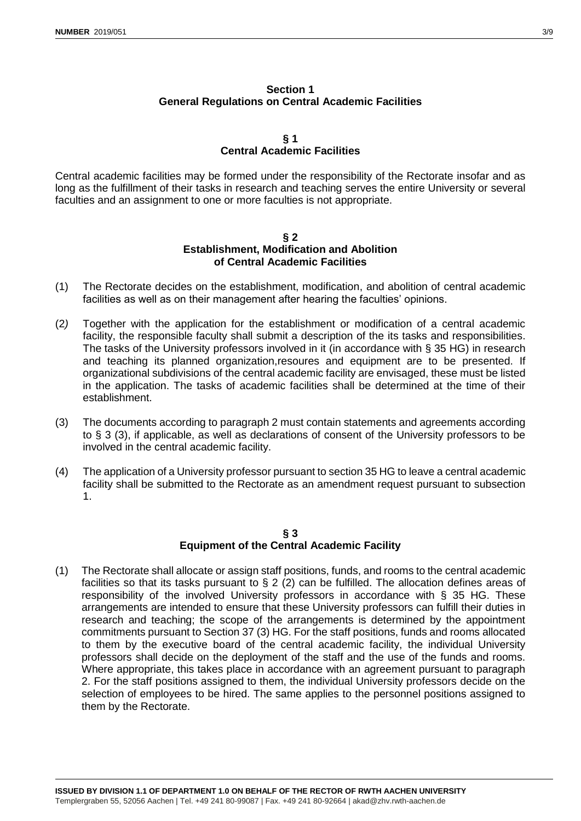# **Section 1 General Regulations on Central Academic Facilities**

## **§ 1 Central Academic Facilities**

Central academic facilities may be formed under the responsibility of the Rectorate insofar and as long as the fulfillment of their tasks in research and teaching serves the entire University or several faculties and an assignment to one or more faculties is not appropriate.

#### **§ 2 Establishment, Modification and Abolition of Central Academic Facilities**

- (1) The Rectorate decides on the establishment, modification, and abolition of central academic facilities as well as on their management after hearing the faculties' opinions.
- (2*)* Together with the application for the establishment or modification of a central academic facility, the responsible faculty shall submit a description of the its tasks and responsibilities. The tasks of the University professors involved in it (in accordance with § 35 HG) in research and teaching its planned organization,resoures and equipment are to be presented. If organizational subdivisions of the central academic facility are envisaged, these must be listed in the application. The tasks of academic facilities shall be determined at the time of their establishment.
- (3) The documents according to paragraph 2 must contain statements and agreements according to § 3 (3), if applicable, as well as declarations of consent of the University professors to be involved in the central academic facility.
- (4) The application of a University professor pursuant to section 35 HG to leave a central academic facility shall be submitted to the Rectorate as an amendment request pursuant to subsection 1.

# **§ 3 Equipment of the Central Academic Facility**

(1) The Rectorate shall allocate or assign staff positions, funds, and rooms to the central academic facilities so that its tasks pursuant to § 2 (2) can be fulfilled. The allocation defines areas of responsibility of the involved University professors in accordance with § 35 HG. These arrangements are intended to ensure that these University professors can fulfill their duties in research and teaching; the scope of the arrangements is determined by the appointment commitments pursuant to Section 37 (3) HG. For the staff positions, funds and rooms allocated to them by the executive board of the central academic facility, the individual University professors shall decide on the deployment of the staff and the use of the funds and rooms. Where appropriate, this takes place in accordance with an agreement pursuant to paragraph 2. For the staff positions assigned to them, the individual University professors decide on the selection of employees to be hired. The same applies to the personnel positions assigned to them by the Rectorate.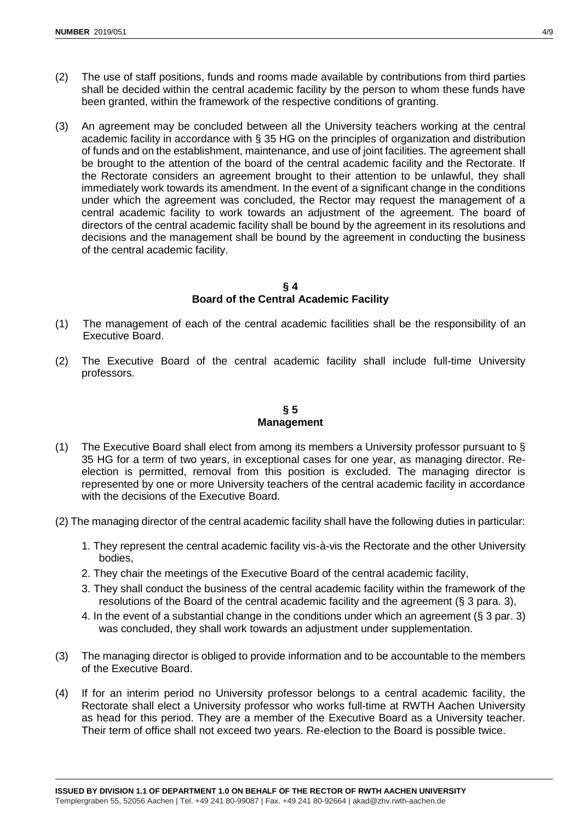- (2) The use of staff positions, funds and rooms made available by contributions from third parties shall be decided within the central academic facility by the person to whom these funds have been granted, within the framework of the respective conditions of granting.
- (3) An agreement may be concluded between all the University teachers working at the central academic facility in accordance with § 35 HG on the principles of organization and distribution of funds and on the establishment, maintenance, and use of joint facilities. The agreement shall be brought to the attention of the board of the central academic facility and the Rectorate. If the Rectorate considers an agreement brought to their attention to be unlawful, they shall immediately work towards its amendment. In the event of a significant change in the conditions under which the agreement was concluded, the Rector may request the management of a central academic facility to work towards an adjustment of the agreement. The board of directors of the central academic facility shall be bound by the agreement in its resolutions and decisions and the management shall be bound by the agreement in conducting the business of the central academic facility.

#### **§ 4 Board of the Central Academic Facility**

- (1) The management of each of the central academic facilities shall be the responsibility of an Executive Board.
- (2) The Executive Board of the central academic facility shall include full-time University professors.

# **§ 5 Management**

- (1) The Executive Board shall elect from among its members a University professor pursuant to  $\S$ 35 HG for a term of two years, in exceptional cases for one year, as managing director. Reelection is permitted, removal from this position is excluded. The managing director is represented by one or more University teachers of the central academic facility in accordance with the decisions of the Executive Board.
- (2) The managing director of the central academic facility shall have the following duties in particular:
	- 1. They represent the central academic facility vis-à-vis the Rectorate and the other University bodies,
	- 2. They chair the meetings of the Executive Board of the central academic facility,
	- 3. They shall conduct the business of the central academic facility within the framework of the resolutions of the Board of the central academic facility and the agreement (§ 3 para. 3),
	- 4. In the event of a substantial change in the conditions under which an agreement (§ 3 par. 3) was concluded, they shall work towards an adjustment under supplementation.
- (3) The managing director is obliged to provide information and to be accountable to the members of the Executive Board.
- (4) If for an interim period no University professor belongs to a central academic facility, the Rectorate shall elect a University professor who works full-time at RWTH Aachen University as head for this period. They are a member of the Executive Board as a University teacher. Their term of office shall not exceed two years. Re-election to the Board is possible twice.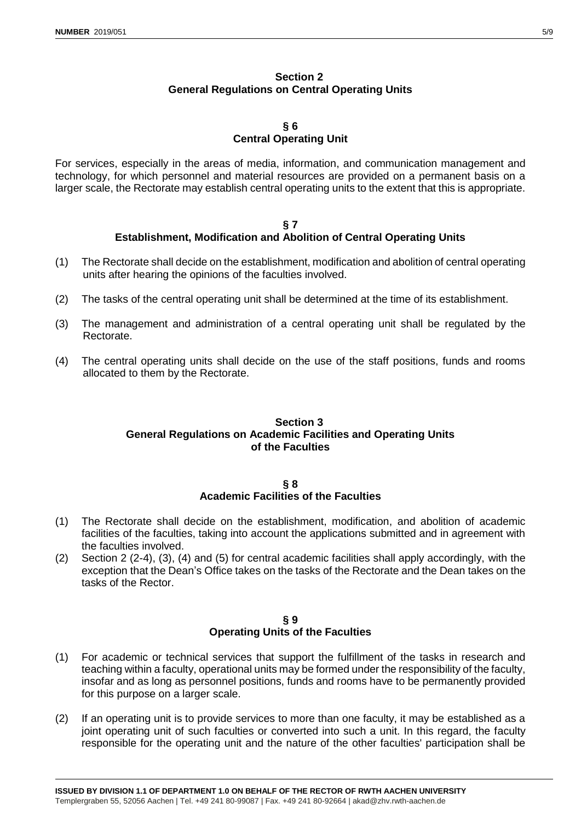# **Section 2 General Regulations on Central Operating Units**

#### **§ 6 Central Operating Unit**

For services, especially in the areas of media, information, and communication management and technology, for which personnel and material resources are provided on a permanent basis on a larger scale, the Rectorate may establish central operating units to the extent that this is appropriate.

#### **§ 7 Establishment, Modification and Abolition of Central Operating Units**

- (1) The Rectorate shall decide on the establishment, modification and abolition of central operating units after hearing the opinions of the faculties involved.
- (2) The tasks of the central operating unit shall be determined at the time of its establishment.
- (3) The management and administration of a central operating unit shall be regulated by the Rectorate.
- (4) The central operating units shall decide on the use of the staff positions, funds and rooms allocated to them by the Rectorate.

# **Section 3 General Regulations on Academic Facilities and Operating Units of the Faculties**

#### **§ 8 Academic Facilities of the Faculties**

- (1) The Rectorate shall decide on the establishment, modification, and abolition of academic facilities of the faculties, taking into account the applications submitted and in agreement with the faculties involved.
- (2) Section 2 (2-4), (3), (4) and (5) for central academic facilities shall apply accordingly, with the exception that the Dean's Office takes on the tasks of the Rectorate and the Dean takes on the tasks of the Rector.

#### **§ 9 Operating Units of the Faculties**

- (1) For academic or technical services that support the fulfillment of the tasks in research and teaching within a faculty, operational units may be formed under the responsibility of the faculty, insofar and as long as personnel positions, funds and rooms have to be permanently provided for this purpose on a larger scale.
- (2) If an operating unit is to provide services to more than one faculty, it may be established as a joint operating unit of such faculties or converted into such a unit. In this regard, the faculty responsible for the operating unit and the nature of the other faculties' participation shall be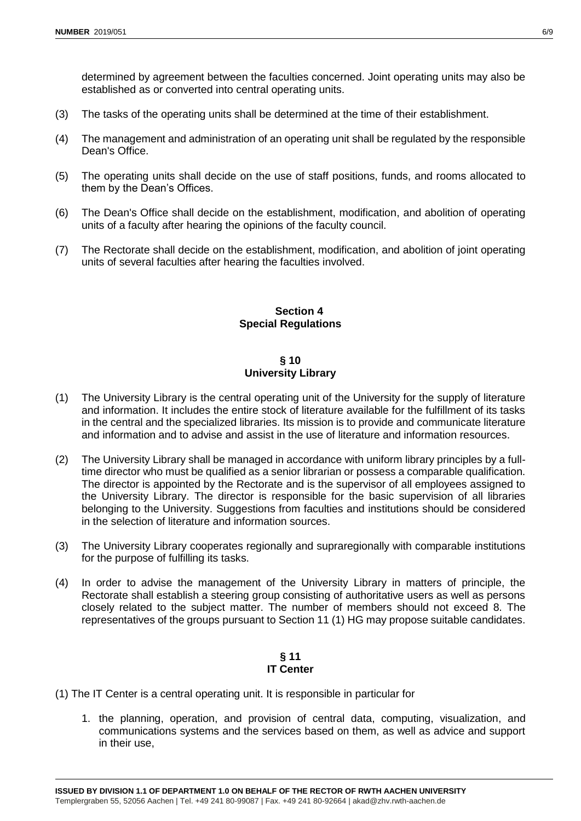determined by agreement between the faculties concerned. Joint operating units may also be established as or converted into central operating units.

- (3) The tasks of the operating units shall be determined at the time of their establishment.
- (4) The management and administration of an operating unit shall be regulated by the responsible Dean's Office.
- (5) The operating units shall decide on the use of staff positions, funds, and rooms allocated to them by the Dean's Offices.
- (6) The Dean's Office shall decide on the establishment, modification, and abolition of operating units of a faculty after hearing the opinions of the faculty council.
- (7) The Rectorate shall decide on the establishment, modification, and abolition of joint operating units of several faculties after hearing the faculties involved.

# **Section 4 Special Regulations**

## **§ 10 University Library**

- (1) The University Library is the central operating unit of the University for the supply of literature and information. It includes the entire stock of literature available for the fulfillment of its tasks in the central and the specialized libraries. Its mission is to provide and communicate literature and information and to advise and assist in the use of literature and information resources.
- (2) The University Library shall be managed in accordance with uniform library principles by a fulltime director who must be qualified as a senior librarian or possess a comparable qualification. The director is appointed by the Rectorate and is the supervisor of all employees assigned to the University Library. The director is responsible for the basic supervision of all libraries belonging to the University. Suggestions from faculties and institutions should be considered in the selection of literature and information sources.
- (3) The University Library cooperates regionally and supraregionally with comparable institutions for the purpose of fulfilling its tasks.
- (4) In order to advise the management of the University Library in matters of principle, the Rectorate shall establish a steering group consisting of authoritative users as well as persons closely related to the subject matter. The number of members should not exceed 8. The representatives of the groups pursuant to Section 11 (1) HG may propose suitable candidates.

## **§ 11 IT Center**

- (1) The IT Center is a central operating unit. It is responsible in particular for
	- 1. the planning, operation, and provision of central data, computing, visualization, and communications systems and the services based on them, as well as advice and support in their use,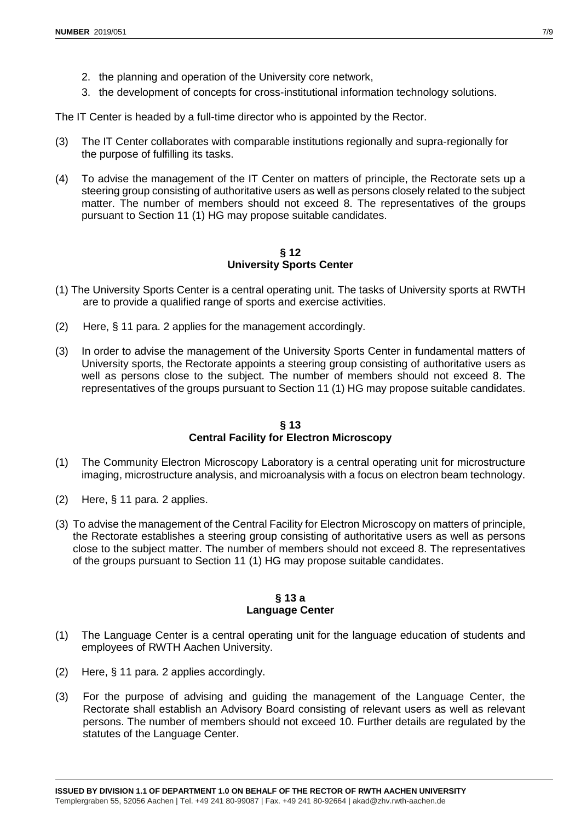- 2. the planning and operation of the University core network,
- 3. the development of concepts for cross-institutional information technology solutions.

The IT Center is headed by a full-time director who is appointed by the Rector.

- (3) The IT Center collaborates with comparable institutions regionally and supra-regionally for the purpose of fulfilling its tasks.
- (4) To advise the management of the IT Center on matters of principle, the Rectorate sets up a steering group consisting of authoritative users as well as persons closely related to the subject matter. The number of members should not exceed 8. The representatives of the groups pursuant to Section 11 (1) HG may propose suitable candidates.

**§ 12 University Sports Center**

- (1) The University Sports Center is a central operating unit. The tasks of University sports at RWTH are to provide a qualified range of sports and exercise activities.
- (2) Here, § 11 para. 2 applies for the management accordingly.
- (3) In order to advise the management of the University Sports Center in fundamental matters of University sports, the Rectorate appoints a steering group consisting of authoritative users as well as persons close to the subject. The number of members should not exceed 8. The representatives of the groups pursuant to Section 11 (1) HG may propose suitable candidates.

## **§ 13 Central Facility for Electron Microscopy**

- (1) The Community Electron Microscopy Laboratory is a central operating unit for microstructure imaging, microstructure analysis, and microanalysis with a focus on electron beam technology.
- (2) Here, § 11 para. 2 applies.
- (3) To advise the management of the Central Facility for Electron Microscopy on matters of principle, the Rectorate establishes a steering group consisting of authoritative users as well as persons close to the subject matter. The number of members should not exceed 8. The representatives of the groups pursuant to Section 11 (1) HG may propose suitable candidates.

## **§ 13 a Language Center**

- (1) The Language Center is a central operating unit for the language education of students and employees of RWTH Aachen University.
- (2) Here, § 11 para. 2 applies accordingly.
- (3) For the purpose of advising and guiding the management of the Language Center, the Rectorate shall establish an Advisory Board consisting of relevant users as well as relevant persons. The number of members should not exceed 10. Further details are regulated by the statutes of the Language Center.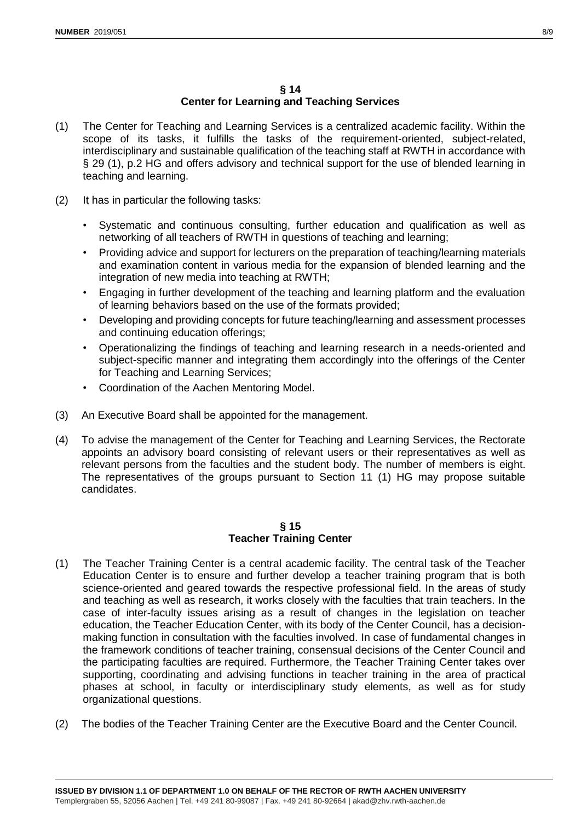- (1) The Center for Teaching and Learning Services is a centralized academic facility. Within the scope of its tasks, it fulfills the tasks of the requirement-oriented, subject-related, interdisciplinary and sustainable qualification of the teaching staff at RWTH in accordance with § 29 (1), p.2 HG and offers advisory and technical support for the use of blended learning in teaching and learning.
- (2) It has in particular the following tasks:
	- Systematic and continuous consulting, further education and qualification as well as networking of all teachers of RWTH in questions of teaching and learning;
	- Providing advice and support for lecturers on the preparation of teaching/learning materials and examination content in various media for the expansion of blended learning and the integration of new media into teaching at RWTH;
	- Engaging in further development of the teaching and learning platform and the evaluation of learning behaviors based on the use of the formats provided;
	- Developing and providing concepts for future teaching/learning and assessment processes and continuing education offerings;
	- Operationalizing the findings of teaching and learning research in a needs-oriented and subject-specific manner and integrating them accordingly into the offerings of the Center for Teaching and Learning Services;
	- Coordination of the Aachen Mentoring Model.
- (3) An Executive Board shall be appointed for the management.
- (4) To advise the management of the Center for Teaching and Learning Services, the Rectorate appoints an advisory board consisting of relevant users or their representatives as well as relevant persons from the faculties and the student body. The number of members is eight. The representatives of the groups pursuant to Section 11 (1) HG may propose suitable candidates.

#### **§ 15 Teacher Training Center**

- (1) The Teacher Training Center is a central academic facility. The central task of the Teacher Education Center is to ensure and further develop a teacher training program that is both science-oriented and geared towards the respective professional field. In the areas of study and teaching as well as research, it works closely with the faculties that train teachers. In the case of inter-faculty issues arising as a result of changes in the legislation on teacher education, the Teacher Education Center, with its body of the Center Council, has a decisionmaking function in consultation with the faculties involved. In case of fundamental changes in the framework conditions of teacher training, consensual decisions of the Center Council and the participating faculties are required. Furthermore, the Teacher Training Center takes over supporting, coordinating and advising functions in teacher training in the area of practical phases at school, in faculty or interdisciplinary study elements, as well as for study organizational questions.
- (2) The bodies of the Teacher Training Center are the Executive Board and the Center Council.